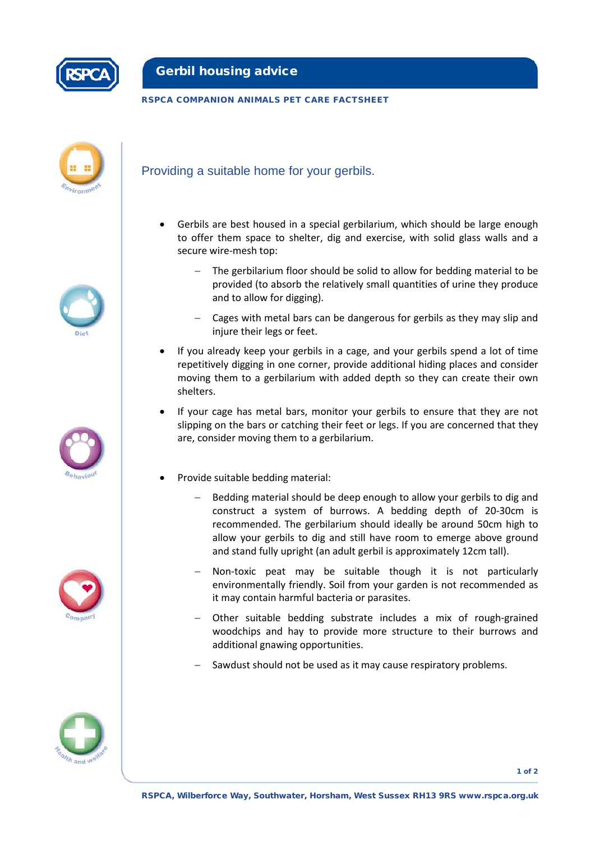

## Gerbil housing advice

## RSPCA COMPANION ANIMALS PET CARE FACTSHEET











- Gerbils are best housed in a special gerbilarium, which should be large enough to offer them space to shelter, dig and exercise, with solid glass walls and a secure wire-mesh top:
	- The gerbilarium floor should be solid to allow for bedding material to be provided (to absorb the relatively small quantities of urine they produce and to allow for digging).
	- − Cages with metal bars can be dangerous for gerbils as they may slip and injure their legs or feet.
- If you already keep your gerbils in a cage, and your gerbils spend a lot of time repetitively digging in one corner, provide additional hiding places and consider moving them to a gerbilarium with added depth so they can create their own shelters.
- If your cage has metal bars, monitor your gerbils to ensure that they are not slipping on the bars or catching their feet or legs. If you are concerned that they are, consider moving them to a gerbilarium.
- Provide suitable bedding material:
	- Bedding material should be deep enough to allow your gerbils to dig and construct a system of burrows. A bedding depth of 20-30cm is recommended. The gerbilarium should ideally be around 50cm high to allow your gerbils to dig and still have room to emerge above ground and stand fully upright (an adult gerbil is approximately 12cm tall).
	- Non-toxic peat may be suitable though it is not particularly environmentally friendly. Soil from your garden is not recommended as it may contain harmful bacteria or parasites.
	- Other suitable bedding substrate includes a mix of rough-grained woodchips and hay to provide more structure to their burrows and additional gnawing opportunities.
	- Sawdust should not be used as it may cause respiratory problems.